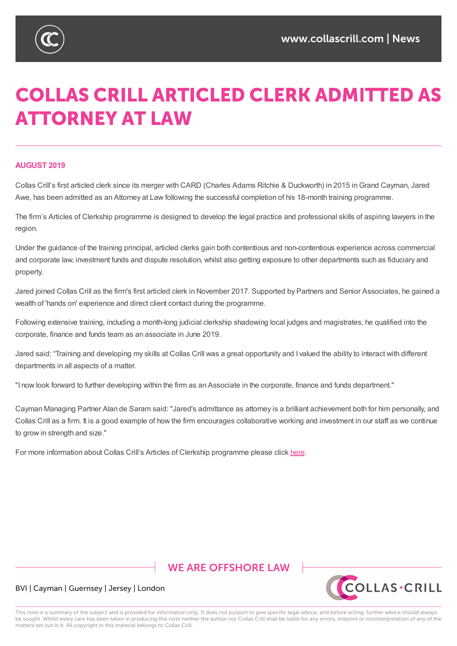

# **COLLAS CRILL ARTICLED CLERK ADMITTED AS ATTORNEY AT LAW**

#### **AUGUST 2019**

Collas Crill's first articled clerk since its merger with CARD (Charles Adams Ritchie & Duckworth) in 2015 inGrand Cayman, Jared Awe, has been admitted as an Attorney at Law following the successful completion of his 18-month training programme.

The firm's Articles of Clerkship programme is designed to develop the legal practice and professional skills of aspiring lawyers in the region.

Under the guidance of the training principal, articled clerks gain both contentious and non-contentious experience across commercial and corporate law, investment funds and dispute resolution, whilst also getting exposure to other departments such as fiduciary and property.

Jared joined Collas Crill as the firm's first articled clerk in November 2017. Supported by Partners and Senior Associates, he gained a wealth of 'hands on' experience and direct client contact during the programme.

Following extensive training, including a month-long judicial clerkship shadowing local judges and magistrates, he qualified into the corporate, finance and funds team as an associate in June 2019.

Jared said: "Training and developing my skills at Collas Crill was a great opportunity and I valued the ability to interact with different departments in all aspects of a matter.

"I now look forward to further developing within the firm as an Associate in the corporate, finance and funds department."

Cayman Managing Partner Alan de Saram said: "Jared's admittance as attorney is a brilliant achievement both for him personally, and Collas Crill as a firm. It is a good example of how the firm encourages collaborative working and investment in our staff as we continue to grow in strength and size."

For more information about Collas Crill's Articles of Clerkship programme please click here.

## **WE ARE OFFSHORE LAW**



#### BVI | Cayman | Guernsey | Jersey | London

This note is a summary of the subject and is provided for information only. It does not purport to give specific legal advice, and before acting, further advice should always be sought. Whilst every care has been taken in producing this note neither the author nor Collas Crill shall be liable for any errors, misprint or misinterpretation of any of the matters set out in it. All copyright in this material belongs to Collas Crill.